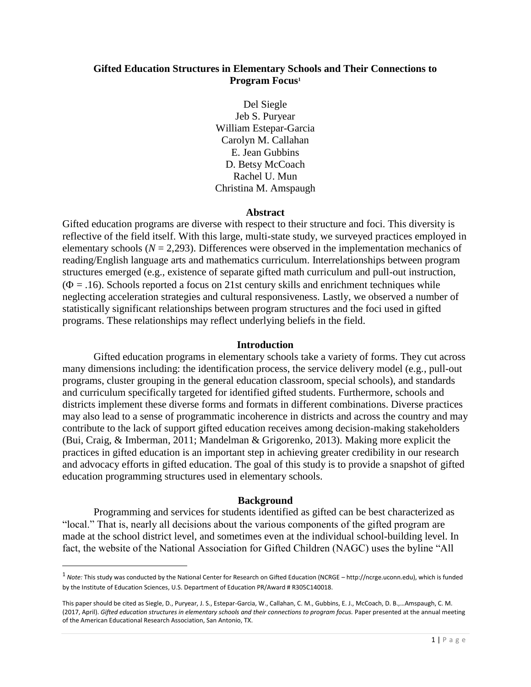# **Gifted Education Structures in Elementary Schools and Their Connections to Program Focus<sup>1</sup>**

Del Siegle Jeb S. Puryear William Estepar-Garcia Carolyn M. Callahan E. Jean Gubbins D. Betsy McCoach Rachel U. Mun Christina M. Amspaugh

#### **Abstract**

Gifted education programs are diverse with respect to their structure and foci. This diversity is reflective of the field itself. With this large, multi-state study, we surveyed practices employed in elementary schools  $(N = 2,293)$ . Differences were observed in the implementation mechanics of reading/English language arts and mathematics curriculum. Interrelationships between program structures emerged (e.g., existence of separate gifted math curriculum and pull-out instruction,  $(\Phi = .16)$ . Schools reported a focus on 21st century skills and enrichment techniques while neglecting acceleration strategies and cultural responsiveness. Lastly, we observed a number of statistically significant relationships between program structures and the foci used in gifted programs. These relationships may reflect underlying beliefs in the field.

#### **Introduction**

Gifted education programs in elementary schools take a variety of forms. They cut across many dimensions including: the identification process, the service delivery model (e.g., pull-out programs, cluster grouping in the general education classroom, special schools), and standards and curriculum specifically targeted for identified gifted students. Furthermore, schools and districts implement these diverse forms and formats in different combinations. Diverse practices may also lead to a sense of programmatic incoherence in districts and across the country and may contribute to the lack of support gifted education receives among decision-making stakeholders (Bui, Craig, & Imberman, 2011; Mandelman & Grigorenko, 2013). Making more explicit the practices in gifted education is an important step in achieving greater credibility in our research and advocacy efforts in gifted education. The goal of this study is to provide a snapshot of gifted education programming structures used in elementary schools.

## **Background**

Programming and services for students identified as gifted can be best characterized as "local." That is, nearly all decisions about the various components of the gifted program are made at the school district level, and sometimes even at the individual school-building level. In fact, the website of the National Association for Gifted Children (NAGC) uses the byline "All

 $\overline{\phantom{a}}$ 

<sup>1</sup> *Note:* This study was conducted by the National Center for Research on Gifted Education (NCRGE – http://ncrge.uconn.edu), which is funded by the Institute of Education Sciences, U.S. Department of Education PR/Award # R305C140018.

This paper should be cited as Siegle, D., Puryear, J. S., Estepar-Garcia, W., Callahan, C. M., Gubbins, E. J., McCoach, D. B.,…Amspaugh, C. M. (2017, April). *Gifted education structures in elementary schools and their connections to program focus.* Paper presented at the annual meeting of the American Educational Research Association, San Antonio, TX.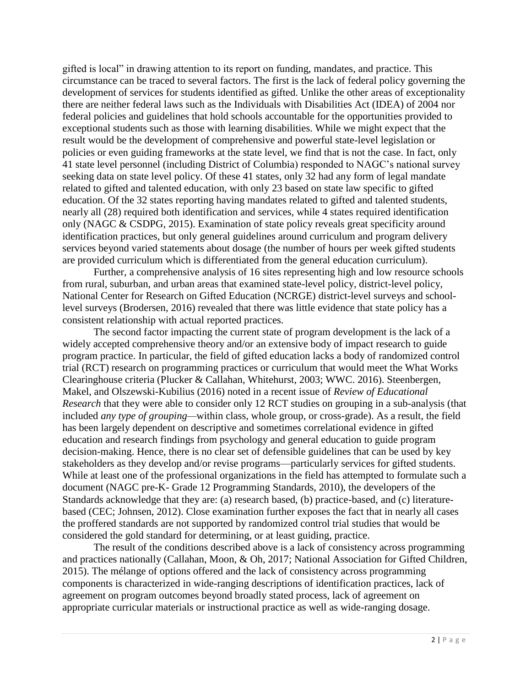gifted is local" in drawing attention to its report on funding, mandates, and practice. This circumstance can be traced to several factors. The first is the lack of federal policy governing the development of services for students identified as gifted. Unlike the other areas of exceptionality there are neither federal laws such as the Individuals with Disabilities Act (IDEA) of 2004 nor federal policies and guidelines that hold schools accountable for the opportunities provided to exceptional students such as those with learning disabilities. While we might expect that the result would be the development of comprehensive and powerful state-level legislation or policies or even guiding frameworks at the state level, we find that is not the case. In fact, only 41 state level personnel (including District of Columbia) responded to NAGC's national survey seeking data on state level policy. Of these 41 states, only 32 had any form of legal mandate related to gifted and talented education, with only 23 based on state law specific to gifted education. Of the 32 states reporting having mandates related to gifted and talented students, nearly all (28) required both identification and services, while 4 states required identification only (NAGC & CSDPG, 2015). Examination of state policy reveals great specificity around identification practices, but only general guidelines around curriculum and program delivery services beyond varied statements about dosage (the number of hours per week gifted students are provided curriculum which is differentiated from the general education curriculum).

Further, a comprehensive analysis of 16 sites representing high and low resource schools from rural, suburban, and urban areas that examined state-level policy, district-level policy, National Center for Research on Gifted Education (NCRGE) district-level surveys and schoollevel surveys (Brodersen, 2016) revealed that there was little evidence that state policy has a consistent relationship with actual reported practices.

The second factor impacting the current state of program development is the lack of a widely accepted comprehensive theory and/or an extensive body of impact research to guide program practice. In particular, the field of gifted education lacks a body of randomized control trial (RCT) research on programming practices or curriculum that would meet the What Works Clearinghouse criteria (Plucker & Callahan, Whitehurst, 2003; WWC. 2016). Steenbergen, Makel, and Olszewski-Kubilius (2016) noted in a recent issue of *Review of Educational Research* that they were able to consider only 12 RCT studies on grouping in a sub-analysis (that included *any type of grouping—*within class, whole group, or cross-grade). As a result, the field has been largely dependent on descriptive and sometimes correlational evidence in gifted education and research findings from psychology and general education to guide program decision-making. Hence, there is no clear set of defensible guidelines that can be used by key stakeholders as they develop and/or revise programs—particularly services for gifted students. While at least one of the professional organizations in the field has attempted to formulate such a document (NAGC pre-K- Grade 12 Programming Standards, 2010), the developers of the Standards acknowledge that they are: (a) research based, (b) practice-based, and (c) literaturebased (CEC; Johnsen, 2012). Close examination further exposes the fact that in nearly all cases the proffered standards are not supported by randomized control trial studies that would be considered the gold standard for determining, or at least guiding, practice.

The result of the conditions described above is a lack of consistency across programming and practices nationally (Callahan, Moon, & Oh, 2017; National Association for Gifted Children, 2015). The mélange of options offered and the lack of consistency across programming components is characterized in wide-ranging descriptions of identification practices, lack of agreement on program outcomes beyond broadly stated process, lack of agreement on appropriate curricular materials or instructional practice as well as wide-ranging dosage.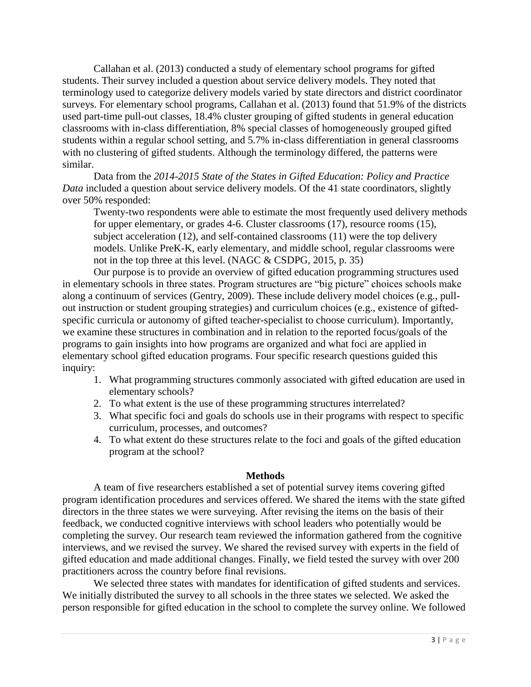Callahan et al. (2013) conducted a study of elementary school programs for gifted students. Their survey included a question about service delivery models. They noted that terminology used to categorize delivery models varied by state directors and district coordinator surveys. For elementary school programs, Callahan et al. (2013) found that 51.9% of the districts used part-time pull-out classes, 18.4% cluster grouping of gifted students in general education classrooms with in-class differentiation, 8% special classes of homogeneously grouped gifted students within a regular school setting, and 5.7% in-class differentiation in general classrooms with no clustering of gifted students. Although the terminology differed, the patterns were similar.

Data from the *2014-2015 State of the States in Gifted Education: Policy and Practice Data* included a question about service delivery models. Of the 41 state coordinators, slightly over 50% responded:

Twenty-two respondents were able to estimate the most frequently used delivery methods for upper elementary, or grades 4-6. Cluster classrooms (17), resource rooms (15), subject acceleration (12), and self-contained classrooms (11) were the top delivery models. Unlike PreK-K, early elementary, and middle school, regular classrooms were not in the top three at this level. (NAGC & CSDPG, 2015, p. 35)

Our purpose is to provide an overview of gifted education programming structures used in elementary schools in three states. Program structures are "big picture" choices schools make along a continuum of services (Gentry, 2009). These include delivery model choices (e.g., pullout instruction or student grouping strategies) and curriculum choices (e.g., existence of giftedspecific curricula or autonomy of gifted teacher-specialist to choose curriculum). Importantly, we examine these structures in combination and in relation to the reported focus/goals of the programs to gain insights into how programs are organized and what foci are applied in elementary school gifted education programs. Four specific research questions guided this inquiry:

- 1. What programming structures commonly associated with gifted education are used in elementary schools?
- 2. To what extent is the use of these programming structures interrelated?
- 3. What specific foci and goals do schools use in their programs with respect to specific curriculum, processes, and outcomes?
- 4. To what extent do these structures relate to the foci and goals of the gifted education program at the school?

## **Methods**

A team of five researchers established a set of potential survey items covering gifted program identification procedures and services offered. We shared the items with the state gifted directors in the three states we were surveying. After revising the items on the basis of their feedback, we conducted cognitive interviews with school leaders who potentially would be completing the survey. Our research team reviewed the information gathered from the cognitive interviews, and we revised the survey. We shared the revised survey with experts in the field of gifted education and made additional changes. Finally, we field tested the survey with over 200 practitioners across the country before final revisions.

We selected three states with mandates for identification of gifted students and services. We initially distributed the survey to all schools in the three states we selected. We asked the person responsible for gifted education in the school to complete the survey online. We followed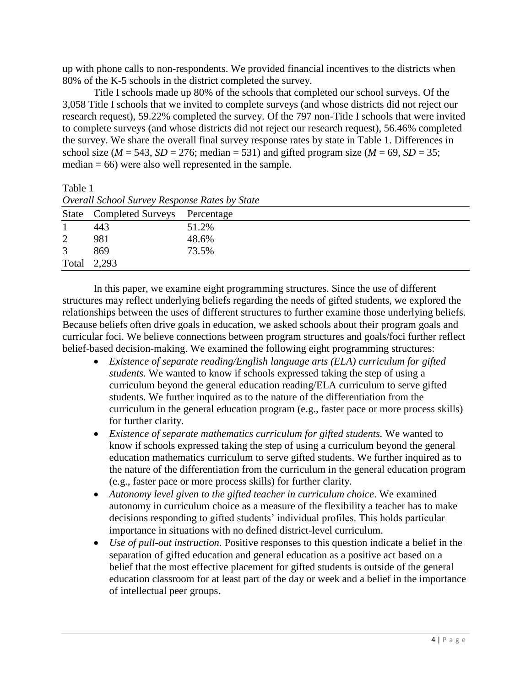up with phone calls to non-respondents. We provided financial incentives to the districts when 80% of the K-5 schools in the district completed the survey.

Title I schools made up 80% of the schools that completed our school surveys. Of the 3,058 Title I schools that we invited to complete surveys (and whose districts did not reject our research request), 59.22% completed the survey. Of the 797 non-Title I schools that were invited to complete surveys (and whose districts did not reject our research request), 56.46% completed the survey. We share the overall final survey response rates by state in Table 1. Differences in school size ( $M = 543$ ,  $SD = 276$ ; median = 531) and gifted program size ( $M = 69$ ,  $SD = 35$ ;  $median = 66$ ) were also well represented in the sample.

Table 1

|             | <b>Overall School Survey Response Rules by State</b> |       |  |  |  |  |  |  |
|-------------|------------------------------------------------------|-------|--|--|--|--|--|--|
|             | State Completed Surveys Percentage                   |       |  |  |  |  |  |  |
|             | 443                                                  | 51.2% |  |  |  |  |  |  |
| 2           | 981                                                  | 48.6% |  |  |  |  |  |  |
| 3           | 869                                                  | 73.5% |  |  |  |  |  |  |
| Total 2,293 |                                                      |       |  |  |  |  |  |  |

*Overall School Survey Response Rates by State*

In this paper, we examine eight programming structures. Since the use of different structures may reflect underlying beliefs regarding the needs of gifted students, we explored the relationships between the uses of different structures to further examine those underlying beliefs. Because beliefs often drive goals in education, we asked schools about their program goals and curricular foci. We believe connections between program structures and goals/foci further reflect belief-based decision-making. We examined the following eight programming structures:

- *Existence of separate reading/English language arts (ELA) curriculum for gifted students.* We wanted to know if schools expressed taking the step of using a curriculum beyond the general education reading/ELA curriculum to serve gifted students. We further inquired as to the nature of the differentiation from the curriculum in the general education program (e.g., faster pace or more process skills) for further clarity.
- *Existence of separate mathematics curriculum for gifted students.* We wanted to know if schools expressed taking the step of using a curriculum beyond the general education mathematics curriculum to serve gifted students. We further inquired as to the nature of the differentiation from the curriculum in the general education program (e.g., faster pace or more process skills) for further clarity.
- *Autonomy level given to the gifted teacher in curriculum choice*. We examined autonomy in curriculum choice as a measure of the flexibility a teacher has to make decisions responding to gifted students' individual profiles. This holds particular importance in situations with no defined district-level curriculum.
- *Use of pull-out instruction.* Positive responses to this question indicate a belief in the separation of gifted education and general education as a positive act based on a belief that the most effective placement for gifted students is outside of the general education classroom for at least part of the day or week and a belief in the importance of intellectual peer groups.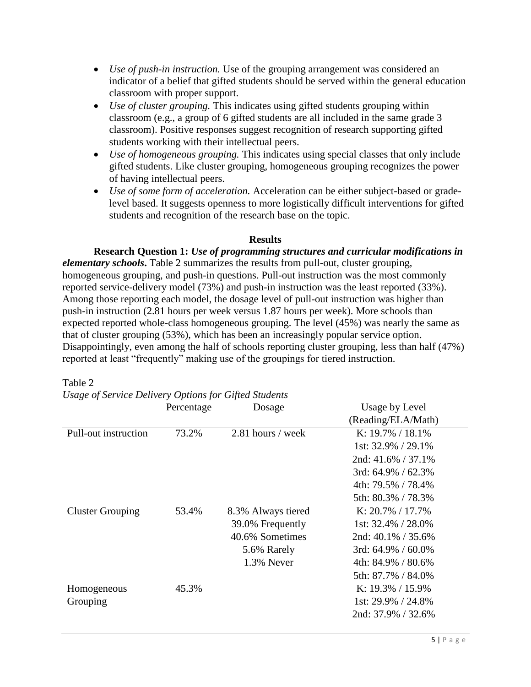- *Use of push-in instruction.* Use of the grouping arrangement was considered an indicator of a belief that gifted students should be served within the general education classroom with proper support.
- *Use of cluster grouping.* This indicates using gifted students grouping within classroom (e.g., a group of 6 gifted students are all included in the same grade 3 classroom). Positive responses suggest recognition of research supporting gifted students working with their intellectual peers.
- *Use of homogeneous grouping.* This indicates using special classes that only include gifted students. Like cluster grouping, homogeneous grouping recognizes the power of having intellectual peers.
- *Use of some form of acceleration.* Acceleration can be either subject-based or gradelevel based. It suggests openness to more logistically difficult interventions for gifted students and recognition of the research base on the topic.

# **Results**

**Research Question 1:** *Use of programming structures and curricular modifications in elementary schools***.** Table 2 summarizes the results from pull-out, cluster grouping, homogeneous grouping, and push-in questions. Pull-out instruction was the most commonly reported service-delivery model (73%) and push-in instruction was the least reported (33%). Among those reporting each model, the dosage level of pull-out instruction was higher than push-in instruction (2.81 hours per week versus 1.87 hours per week). More schools than expected reported whole-class homogeneous grouping. The level (45%) was nearly the same as that of cluster grouping (53%), which has been an increasingly popular service option. Disappointingly, even among the half of schools reporting cluster grouping, less than half (47%) reported at least "frequently" making use of the groupings for tiered instruction.

| Percentage | Dosage             | Usage by Level           |
|------------|--------------------|--------------------------|
|            |                    | (Reading/ELA/Math)       |
| 73.2%      | 2.81 hours / week  | K: $19.7\%$ / $18.1\%$   |
|            |                    | 1st: $32.9\%$ / $29.1\%$ |
|            |                    | 2nd: $41.6\%$ / 37.1%    |
|            |                    | 3rd: $64.9\%$ / $62.3\%$ |
|            |                    | 4th: 79.5% / 78.4%       |
|            |                    | 5th: 80.3% / 78.3%       |
| 53.4%      | 8.3% Always tiered | K: $20.7\%$ / 17.7%      |
|            | 39.0% Frequently   | 1st: $32.4\%$ / $28.0\%$ |
|            | 40.6% Sometimes    | 2nd: $40.1\%$ / 35.6%    |
|            | 5.6% Rarely        | 3rd: $64.9\%$ / $60.0\%$ |
|            | 1.3% Never         | 4th: 84.9% / 80.6%       |
|            |                    | 5th: 87.7% / 84.0%       |
| 45.3%      |                    | K: $19.3\% / 15.9\%$     |
|            |                    | 1st: 29.9% / 24.8%       |
|            |                    | 2nd: 37.9% / 32.6%       |
|            |                    |                          |

Table 2

*Usage of Service Delivery Options for Gifted Students*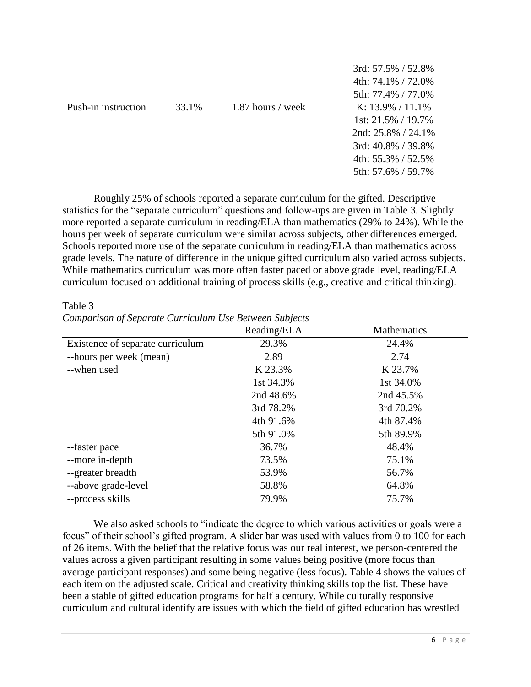|                     |       |                     | 3rd: 57.5% / 52.8%       |
|---------------------|-------|---------------------|--------------------------|
|                     |       |                     | 4th: $74.1\%$ / $72.0\%$ |
|                     |       |                     | 5th: 77.4% / 77.0%       |
| Push-in instruction | 33.1% | $1.87$ hours / week | K: $13.9\% / 11.1\%$     |
|                     |       |                     | 1st: $21.5\%$ / 19.7%    |
|                     |       |                     | $2nd: 25.8\% / 24.1\%$   |
|                     |       |                     | 3rd: $40.8\%$ / 39.8%    |
|                     |       |                     | 4th: $55.3\%$ / $52.5\%$ |
|                     |       |                     | 5th: 57.6% / 59.7%       |
|                     |       |                     |                          |

Roughly 25% of schools reported a separate curriculum for the gifted. Descriptive statistics for the "separate curriculum" questions and follow-ups are given in Table 3. Slightly more reported a separate curriculum in reading/ELA than mathematics (29% to 24%). While the hours per week of separate curriculum were similar across subjects, other differences emerged. Schools reported more use of the separate curriculum in reading/ELA than mathematics across grade levels. The nature of difference in the unique gifted curriculum also varied across subjects. While mathematics curriculum was more often faster paced or above grade level, reading/ELA curriculum focused on additional training of process skills (e.g., creative and critical thinking).

|                                  | Reading/ELA | Mathematics |
|----------------------------------|-------------|-------------|
| Existence of separate curriculum | 29.3%       | 24.4%       |
| --hours per week (mean)          | 2.89        | 2.74        |
| --when used                      | K 23.3%     | K 23.7%     |
|                                  | 1st 34.3%   | 1st 34.0%   |
|                                  | 2nd 48.6%   | 2nd 45.5%   |
|                                  | 3rd 78.2%   | 3rd 70.2%   |
|                                  | 4th 91.6%   | 4th 87.4%   |
|                                  | 5th 91.0%   | 5th 89.9%   |
| --faster pace                    | 36.7%       | 48.4%       |
| --more in-depth                  | 73.5%       | 75.1%       |
| --greater breadth                | 53.9%       | 56.7%       |
| --above grade-level              | 58.8%       | 64.8%       |
| --process skills                 | 79.9%       | 75.7%       |

Table 3

*Comparison of Separate Curriculum Use Between Subjects*

We also asked schools to "indicate the degree to which various activities or goals were a focus" of their school's gifted program. A slider bar was used with values from 0 to 100 for each of 26 items. With the belief that the relative focus was our real interest, we person-centered the values across a given participant resulting in some values being positive (more focus than average participant responses) and some being negative (less focus). Table 4 shows the values of each item on the adjusted scale. Critical and creativity thinking skills top the list. These have been a stable of gifted education programs for half a century. While culturally responsive curriculum and cultural identify are issues with which the field of gifted education has wrestled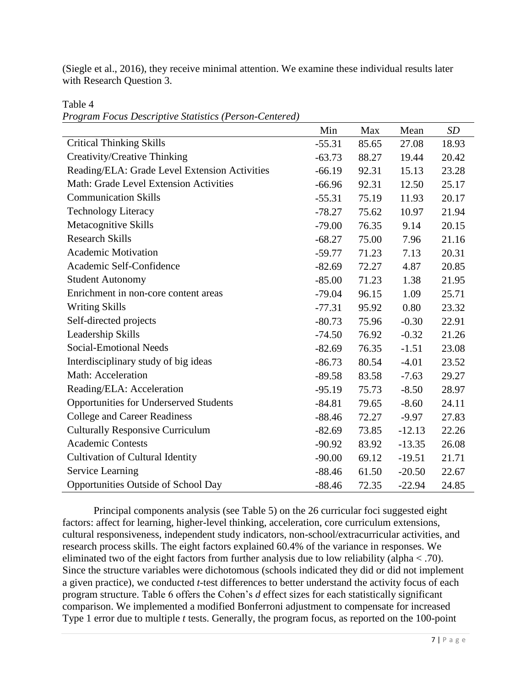(Siegle et al., 2016), they receive minimal attention. We examine these individual results later with Research Question 3.

Table 4

*Program Focus Descriptive Statistics (Person-Centered)*

|                                               | Min      | Max   | Mean     | SD    |
|-----------------------------------------------|----------|-------|----------|-------|
| <b>Critical Thinking Skills</b>               | $-55.31$ | 85.65 | 27.08    | 18.93 |
| Creativity/Creative Thinking                  | $-63.73$ | 88.27 | 19.44    | 20.42 |
| Reading/ELA: Grade Level Extension Activities | $-66.19$ | 92.31 | 15.13    | 23.28 |
| Math: Grade Level Extension Activities        | $-66.96$ | 92.31 | 12.50    | 25.17 |
| <b>Communication Skills</b>                   | $-55.31$ | 75.19 | 11.93    | 20.17 |
| <b>Technology Literacy</b>                    | $-78.27$ | 75.62 | 10.97    | 21.94 |
| Metacognitive Skills                          | $-79.00$ | 76.35 | 9.14     | 20.15 |
| <b>Research Skills</b>                        | $-68.27$ | 75.00 | 7.96     | 21.16 |
| <b>Academic Motivation</b>                    | $-59.77$ | 71.23 | 7.13     | 20.31 |
| Academic Self-Confidence                      | $-82.69$ | 72.27 | 4.87     | 20.85 |
| <b>Student Autonomy</b>                       | $-85.00$ | 71.23 | 1.38     | 21.95 |
| Enrichment in non-core content areas          | $-79.04$ | 96.15 | 1.09     | 25.71 |
| <b>Writing Skills</b>                         | $-77.31$ | 95.92 | 0.80     | 23.32 |
| Self-directed projects                        | $-80.73$ | 75.96 | $-0.30$  | 22.91 |
| Leadership Skills                             | $-74.50$ | 76.92 | $-0.32$  | 21.26 |
| <b>Social-Emotional Needs</b>                 | $-82.69$ | 76.35 | $-1.51$  | 23.08 |
| Interdisciplinary study of big ideas          | $-86.73$ | 80.54 | $-4.01$  | 23.52 |
| Math: Acceleration                            | $-89.58$ | 83.58 | $-7.63$  | 29.27 |
| Reading/ELA: Acceleration                     | $-95.19$ | 75.73 | $-8.50$  | 28.97 |
| Opportunities for Underserved Students        | $-84.81$ | 79.65 | $-8.60$  | 24.11 |
| <b>College and Career Readiness</b>           | $-88.46$ | 72.27 | $-9.97$  | 27.83 |
| <b>Culturally Responsive Curriculum</b>       | $-82.69$ | 73.85 | $-12.13$ | 22.26 |
| <b>Academic Contests</b>                      | $-90.92$ | 83.92 | $-13.35$ | 26.08 |
| <b>Cultivation of Cultural Identity</b>       | $-90.00$ | 69.12 | $-19.51$ | 21.71 |
| Service Learning                              | $-88.46$ | 61.50 | $-20.50$ | 22.67 |
| Opportunities Outside of School Day           | $-88.46$ | 72.35 | $-22.94$ | 24.85 |

Principal components analysis (see Table 5) on the 26 curricular foci suggested eight factors: affect for learning, higher-level thinking, acceleration, core curriculum extensions, cultural responsiveness, independent study indicators, non-school/extracurricular activities, and research process skills. The eight factors explained 60.4% of the variance in responses. We eliminated two of the eight factors from further analysis due to low reliability (alpha < .70). Since the structure variables were dichotomous (schools indicated they did or did not implement a given practice), we conducted *t-*test differences to better understand the activity focus of each program structure. Table 6 offers the Cohen's *d* effect sizes for each statistically significant comparison. We implemented a modified Bonferroni adjustment to compensate for increased Type 1 error due to multiple *t* tests. Generally, the program focus, as reported on the 100-point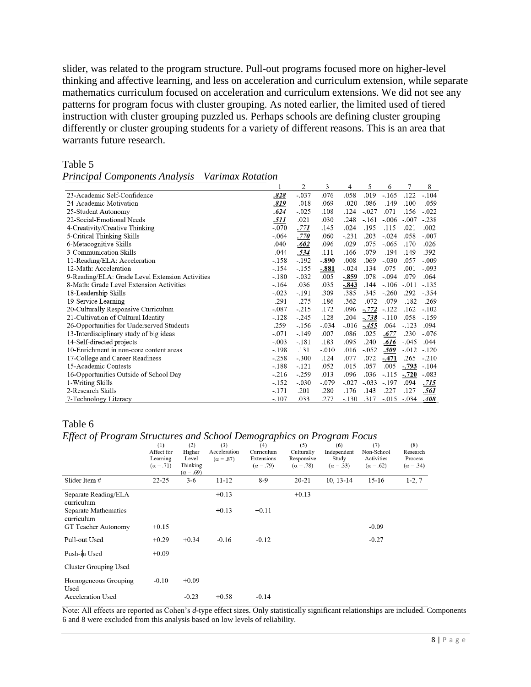slider, was related to the program structure. Pull-out programs focused more on higher-level thinking and affective learning, and less on acceleration and curriculum extension, while separate mathematics curriculum focused on acceleration and curriculum extensions. We did not see any patterns for program focus with cluster grouping. As noted earlier, the limited used of tiered instruction with cluster grouping puzzled us. Perhaps schools are defining cluster grouping differently or cluster grouping students for a variety of different reasons. This is an area that warrants future research.

## Table 5

| Principal Components Analysis—Varimax Rotation |  |
|------------------------------------------------|--|
|------------------------------------------------|--|

|                                                 |         | $\overline{2}$ | 3       | 4       | 5       | 6       |         | 8       |
|-------------------------------------------------|---------|----------------|---------|---------|---------|---------|---------|---------|
| 23-Academic Self-Confidence                     | .828    | $-.037$        | .076    | .058    | .019    | $-.165$ | .122    | $-.104$ |
| 24-Academic Motivation                          | .819    | $-.018$        | .069    | $-.020$ | .086    | $-.149$ | .100    | $-.059$ |
| 25-Student Autonomy                             | .624    | $-.025$        | .108    | .124    | $-.027$ | .071    | .156    | $-.022$ |
| 22-Social-Emotional Needs                       | .511    | .021           | .030    | .248    | $-.161$ | $-.006$ | $-.007$ | $-.238$ |
| 4-Creativity/Creative Thinking                  | $-.070$ | .771           | .145    | .024    | .195    | .115    | .021    | .002    |
| 5-Critical Thinking Skills                      | $-.064$ | .770           | .060    | $-.231$ | .203    | $-.024$ | .058    | $-.007$ |
| 6-Metacognitive Skills                          | .040    | .602           | .096    | .029    | .075    | $-.065$ | .170    | .026    |
| 3-Communication Skills                          | $-.044$ | .534           | .111    | .166    | .079    | $-.194$ | .149    | .392    |
| 11-Reading/ELA: Acceleration                    | $-.158$ | $-.192$        | $-.890$ | .008    | .069    | $-.030$ | .057    | $-.009$ |
| 12-Math: Acceleration                           | $-.154$ | $-.155$        | $-.881$ | $-.024$ | .134    | .075    | .001    | $-.093$ |
| 9-Reading/ELA: Grade Level Extension Activities | $-.180$ | $-.032$        | .005    | $-.859$ | .078    | $-.094$ | .079    | .064    |
| 8-Math: Grade Level Extension Activities        | $-.164$ | .036           | .035    | $-.843$ | .144    | $-.106$ | $-.011$ | $-.135$ |
| 18-Leadership Skills                            | $-.023$ | $-.191$        | .309    | .385    | .345    | $-.260$ | .292    | $-.354$ |
| 19-Service Learning                             | $-.291$ | $-.275$        | .186    | .362    | $-.072$ | $-.079$ | $-.182$ | $-.269$ |
| 20-Culturally Responsive Curriculum             | $-.087$ | $-.215$        | .172    | .096    | $-.772$ | $-.122$ | .162    | $-.102$ |
| 21-Cultivation of Cultural Identity             | $-.128$ | $-.245$        | .128    | .204    | - 738   | $-.110$ | .058    | $-.159$ |
| 26-Opportunities for Underserved Students       | .259    | $-.156$        | $-.034$ | $-.016$ | $-.455$ | .064    | $-.123$ | .094    |
| 13-Interdisciplinary study of big ideas         | $-.071$ | $-.149$        | .007    | .086    | .025    | .677    | .230    | $-.076$ |
| 14-Self-directed projects                       | $-.003$ | $-.181$        | .183    | .095    | .240    | .616    | $-.045$ | .044    |
| 10-Enrichment in non-core content areas         | $-.198$ | .131           | $-.010$ | .016    | $-.052$ | .509    | $-.012$ | $-.120$ |
| 17-College and Career Readiness                 | $-.258$ | $-.300$        | .124    | .077    | .072    | $-.471$ | .265    | $-.210$ |
| 15-Academic Contests                            | $-.188$ | $-.121$        | .052    | .015    | .057    | .005    | $-.793$ | $-.104$ |
| 16-Opportunities Outside of School Day          | $-.216$ | $-.259$        | .013    | .096    | .036    | $-.115$ | $-.720$ | $-.083$ |
| 1-Writing Skills                                | $-.152$ | $-.030$        | $-.079$ | $-.027$ | $-.033$ | $-.197$ | .094    | .715    |
| 2-Research Skills                               | $-.171$ | .201           | .280    | .176    | .143    | .227    | .127    | .561    |
| 7-Technology Literacy                           | $-.107$ | .033           | .277    | $-.130$ | .317    | $-.015$ | $-.034$ | .408    |

## Table 6

## *Effect of Program Structures and School Demographics on Program Focus*

|                                    | (1)<br>Affect for<br>Learning | (2)<br>Higher<br>Level       | (3)<br>Acceleration<br>$(\alpha = .87)$ | (4)<br>Curriculum<br>Extensions | (5)<br>Culturally<br>Responsive | (6)<br>Independent<br>Study | (7)<br>Non-School<br>Activities | (8)<br>Research<br>Process |
|------------------------------------|-------------------------------|------------------------------|-----------------------------------------|---------------------------------|---------------------------------|-----------------------------|---------------------------------|----------------------------|
|                                    | $(\alpha = .71)$              | Thinking<br>$(\alpha = .69)$ |                                         | $(\alpha = .79)$                | $(\alpha = .78)$                | $(\alpha = .33)$            | $(\alpha = .62)$                | $(\alpha = .34)$           |
| Slider Item #                      | $22 - 25$                     | $3-6$                        | 11-12                                   | $8-9$                           | $20 - 21$                       | $10, 13-14$                 | $15 - 16$                       | $1-2, 7$                   |
| Separate Reading/ELA<br>curriculum |                               |                              | $+0.13$                                 |                                 | $+0.13$                         |                             |                                 |                            |
| Separate Mathematics<br>curriculum |                               |                              | $+0.13$                                 | $+0.11$                         |                                 |                             |                                 |                            |
| GT Teacher Autonomy                | $+0.15$                       |                              |                                         |                                 |                                 |                             | $-0.09$                         |                            |
| Pull-out Used                      | $+0.29$                       | $+0.34$                      | $-0.16$                                 | $-0.12$                         |                                 |                             | $-0.27$                         |                            |
| Push-in Used                       | $+0.09$                       |                              |                                         |                                 |                                 |                             |                                 |                            |
| Cluster Grouping Used              |                               |                              |                                         |                                 |                                 |                             |                                 |                            |
| Homogeneous Grouping<br>Used       | $-0.10$                       | $+0.09$                      |                                         |                                 |                                 |                             |                                 |                            |
| <b>Acceleration Used</b>           |                               | $-0.23$                      | $+0.58$                                 | $-0.14$                         |                                 |                             |                                 |                            |

Note: All effects are reported as Cohen's *d*-type effect sizes. Only statistically significant relationships are included. Components 6 and 8 were excluded from this analysis based on low levels of reliability.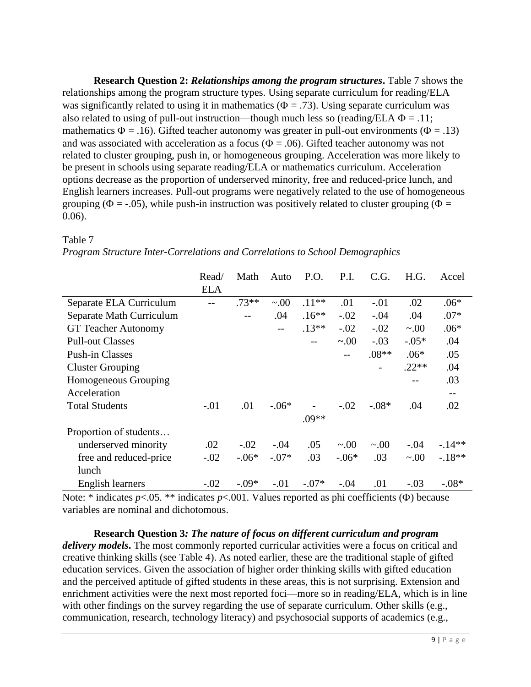**Research Question 2:** *Relationships among the program structures***.** Table 7 shows the relationships among the program structure types. Using separate curriculum for reading/ELA was significantly related to using it in mathematics ( $\Phi = .73$ ). Using separate curriculum was also related to using of pull-out instruction—though much less so (reading/ELA  $\Phi = .11$ ; mathematics  $\Phi = .16$ ). Gifted teacher autonomy was greater in pull-out environments ( $\Phi = .13$ ) and was associated with acceleration as a focus ( $\Phi = .06$ ). Gifted teacher autonomy was not related to cluster grouping, push in, or homogeneous grouping. Acceleration was more likely to be present in schools using separate reading/ELA or mathematics curriculum. Acceleration options decrease as the proportion of underserved minority, free and reduced-price lunch, and English learners increases. Pull-out programs were negatively related to the use of homogeneous grouping ( $\Phi = -0.05$ ), while push-in instruction was positively related to cluster grouping ( $\Phi =$ 0.06).

|                            | Read/      | Math    | Auto      | P.O.    | P.I.        | C.G.        | H.G.      | Accel    |
|----------------------------|------------|---------|-----------|---------|-------------|-------------|-----------|----------|
|                            | <b>ELA</b> |         |           |         |             |             |           |          |
| Separate ELA Curriculum    |            | $.73**$ | $\sim 00$ | $.11**$ | .01         | $-.01$      | .02       | $.06*$   |
| Separate Math Curriculum   |            |         | .04       | $.16**$ | $-.02$      | $-.04$      | .04       | $.07*$   |
| <b>GT Teacher Autonomy</b> |            |         |           | $.13**$ | $-.02$      | $-.02$      | $\sim 00$ | $.06*$   |
| <b>Pull-out Classes</b>    |            |         |           |         | $\sim 00$   | $-.03$      | $-.05*$   | .04      |
| <b>Push-in Classes</b>     |            |         |           |         |             | $.08**$     | $.06*$    | .05      |
| <b>Cluster Grouping</b>    |            |         |           |         |             |             | $.22**$   | .04      |
| Homogeneous Grouping       |            |         |           |         |             |             | --        | .03      |
| Acceleration               |            |         |           |         |             |             |           | $- -$    |
| <b>Total Students</b>      | $-.01$     | .01     | $-.06*$   |         | $-.02$      | $-.08*$     | .04       | .02      |
|                            |            |         |           | $.09**$ |             |             |           |          |
| Proportion of students     |            |         |           |         |             |             |           |          |
| underserved minority       | .02        | $-.02$  | $-.04$    | .05     | $\sim 0.00$ | $\sim 0.00$ | $-.04$    | $-.14**$ |
| free and reduced-price     | $-.02$     | $-.06*$ | $-.07*$   | .03     | $-.06*$     | .03         | $\sim 00$ | $-.18**$ |
| lunch                      |            |         |           |         |             |             |           |          |
| English learners           | $-.02$     | $-.09*$ | $-.01$    | $-.07*$ | $-.04$      | .01         | $-.03$    | $-.08*$  |

# Table 7

Note: \* indicates  $p<.05$ . \*\* indicates  $p<.001$ . Values reported as phi coefficients ( $\Phi$ ) because variables are nominal and dichotomous.

**Research Question 3***: The nature of focus on different curriculum and program delivery models***.** The most commonly reported curricular activities were a focus on critical and creative thinking skills (see Table 4). As noted earlier, these are the traditional staple of gifted education services. Given the association of higher order thinking skills with gifted education and the perceived aptitude of gifted students in these areas, this is not surprising. Extension and enrichment activities were the next most reported foci—more so in reading/ELA, which is in line with other findings on the survey regarding the use of separate curriculum. Other skills (e.g., communication, research, technology literacy) and psychosocial supports of academics (e.g.,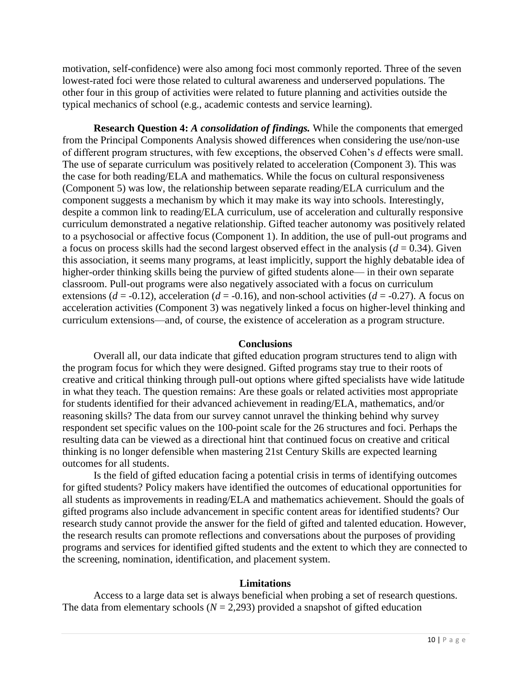motivation, self-confidence) were also among foci most commonly reported. Three of the seven lowest-rated foci were those related to cultural awareness and underserved populations. The other four in this group of activities were related to future planning and activities outside the typical mechanics of school (e.g., academic contests and service learning).

**Research Question 4:** *A consolidation of findings.* While the components that emerged from the Principal Components Analysis showed differences when considering the use/non-use of different program structures, with few exceptions, the observed Cohen's *d* effects were small. The use of separate curriculum was positively related to acceleration (Component 3). This was the case for both reading/ELA and mathematics. While the focus on cultural responsiveness (Component 5) was low, the relationship between separate reading/ELA curriculum and the component suggests a mechanism by which it may make its way into schools. Interestingly, despite a common link to reading/ELA curriculum, use of acceleration and culturally responsive curriculum demonstrated a negative relationship. Gifted teacher autonomy was positively related to a psychosocial or affective focus (Component 1). In addition, the use of pull-out programs and a focus on process skills had the second largest observed effect in the analysis  $(d = 0.34)$ . Given this association, it seems many programs, at least implicitly, support the highly debatable idea of higher-order thinking skills being the purview of gifted students alone— in their own separate classroom. Pull-out programs were also negatively associated with a focus on curriculum extensions ( $d = -0.12$ ), acceleration ( $d = -0.16$ ), and non-school activities ( $d = -0.27$ ). A focus on acceleration activities (Component 3) was negatively linked a focus on higher-level thinking and curriculum extensions—and, of course, the existence of acceleration as a program structure.

#### **Conclusions**

Overall all, our data indicate that gifted education program structures tend to align with the program focus for which they were designed. Gifted programs stay true to their roots of creative and critical thinking through pull-out options where gifted specialists have wide latitude in what they teach. The question remains: Are these goals or related activities most appropriate for students identified for their advanced achievement in reading/ELA, mathematics, and/or reasoning skills? The data from our survey cannot unravel the thinking behind why survey respondent set specific values on the 100-point scale for the 26 structures and foci. Perhaps the resulting data can be viewed as a directional hint that continued focus on creative and critical thinking is no longer defensible when mastering 21st Century Skills are expected learning outcomes for all students.

Is the field of gifted education facing a potential crisis in terms of identifying outcomes for gifted students? Policy makers have identified the outcomes of educational opportunities for all students as improvements in reading/ELA and mathematics achievement. Should the goals of gifted programs also include advancement in specific content areas for identified students? Our research study cannot provide the answer for the field of gifted and talented education. However, the research results can promote reflections and conversations about the purposes of providing programs and services for identified gifted students and the extent to which they are connected to the screening, nomination, identification, and placement system.

#### **Limitations**

Access to a large data set is always beneficial when probing a set of research questions. The data from elementary schools ( $N = 2,293$ ) provided a snapshot of gifted education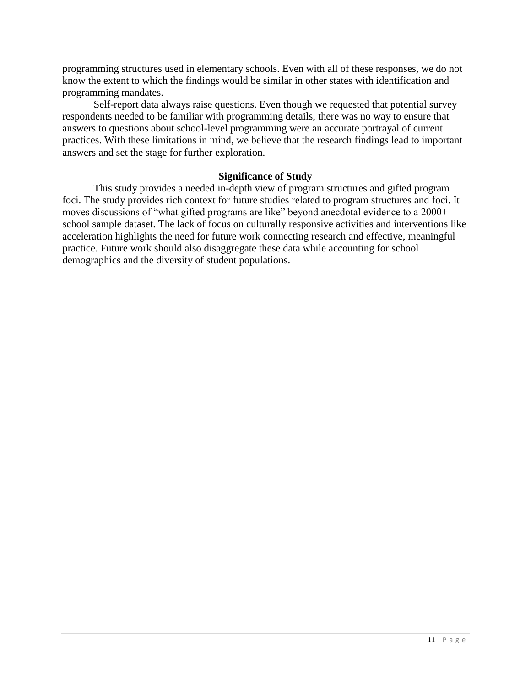programming structures used in elementary schools. Even with all of these responses, we do not know the extent to which the findings would be similar in other states with identification and programming mandates.

Self-report data always raise questions. Even though we requested that potential survey respondents needed to be familiar with programming details, there was no way to ensure that answers to questions about school-level programming were an accurate portrayal of current practices. With these limitations in mind, we believe that the research findings lead to important answers and set the stage for further exploration.

#### **Significance of Study**

This study provides a needed in-depth view of program structures and gifted program foci. The study provides rich context for future studies related to program structures and foci. It moves discussions of "what gifted programs are like" beyond anecdotal evidence to a 2000+ school sample dataset. The lack of focus on culturally responsive activities and interventions like acceleration highlights the need for future work connecting research and effective, meaningful practice. Future work should also disaggregate these data while accounting for school demographics and the diversity of student populations.